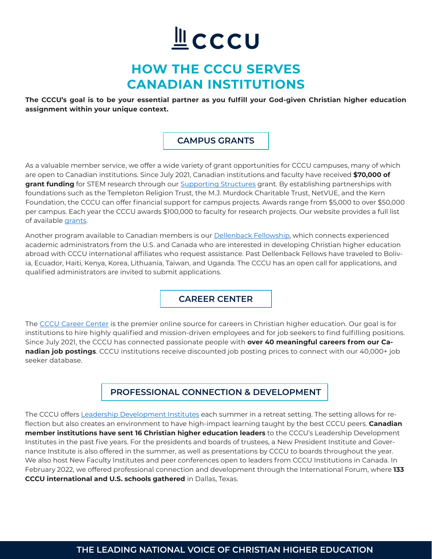# LCCCU

## **HOW THE CCCU SERVES CANADIAN INSTITUTIONS**

**The CCCU's goal is to be your essential partner as you fulfill your God-given Christian higher education assignment within your unique context.**

#### **CAMPUS GRANTS**

As a valuable member service, we offer a wide variety of grant opportunities for CCCU campuses, many of which are open to Canadian institutions. Since July 2021, Canadian institutions and faculty have received **\$70,000 of grant funding** for STEM research through our [Supporting Structures](https://www.scio-uk.org/research/supporting-stem/) grant. By establishing partnerships with foundations such as the Templeton Religion Trust, the M.J. Murdock Charitable Trust, NetVUE, and the Kern Foundation, the CCCU can offer financial support for campus projects. Awards range from \$5,000 to over \$50,000 per campus. Each year the CCCU awards \$100,000 to faculty for research projects. Our website provides a full list of available grants.

Another program available to Canadian members is our **Dellenback Fellowship**, which connects experienced academic administrators from the U.S. and Canada who are interested in developing Christian higher education abroad with CCCU international affiliates who request assistance. Past Dellenback Fellows have traveled to Bolivia, Ecuador, Haiti, Kenya, Korea, Lithuania, Taiwan, and Uganda. The CCCU has an open call for applications, and qualified administrators are invited to submit applications.

**CAREER CENTER**

The [CCCU Career Center](https://www.cccu.org/career-center/) is the premier online source for careers in Christian higher education. Our goal is for institutions to hire highly qualified and mission-driven employees and for job seekers to find fulfilling positions. Since July 2021, the CCCU has connected passionate people with **over 40 meaningful careers from our Canadian job postings**. CCCU institutions receive discounted job posting prices to connect with our 40,000+ job seeker database.

### **PROFESSIONAL CONNECTION & DEVELOPMENT**

The CCCU offers [Leadership Development Institutes](https://www.cccu.org/programs-services/institutes/) each summer in a retreat setting. The setting allows for reflection but also creates an environment to have high-impact learning taught by the best CCCU peers. **Canadian member institutions have sent 16 Christian higher education leaders** to the CCCU's Leadership Development Institutes in the past five years. For the presidents and boards of trustees, a New President Institute and Governance Institute is also offered in the summer, as well as presentations by CCCU to boards throughout the year. We also host New Faculty Institutes and peer conferences open to leaders from CCCU Institutions in Canada. In February 2022, we offered professional connection and development through the International Forum, where **133 CCCU international and U.S. schools gathered** in Dallas, Texas.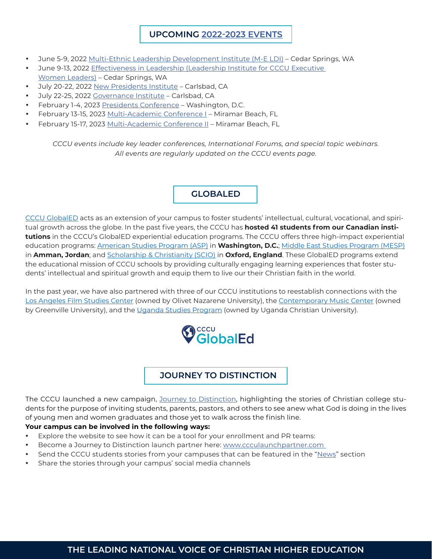#### **UPCOMING [2022-2023 EVENTS](https://www.cccu.org/events/)**

- June 5-9, 2022 [Multi-Ethnic Leadership Development Institute \(M-E LDI\)](https://www.cccu.org/programs-services/institutes/multi-ethnic-leadership-development-institute/) Cedar Springs, WA
- June 9-13, 2022 Effectiveness in Leadership (Leadership Institute for CCCU Executive [Women Leaders\)](https://www.cccu.org/programs-services/institutes/executive-women-leaders-ldi/) – Cedar Springs, WA
- July 20-22, 2022 [New Presidents Institute](https://www.cccu.org/cccu_event/new-presidents-institute-2022/) Carlsbad, CA
- July 22-25, 2022 [Governance Institute](https://www.cccu.org/cccu_event/governance-institute/) Carlsbad, CA
- February 1-4, 2023 [Presidents Conference](https://www.cccu.org/cccu_event/2023-presidents-conference-3/) Washington, D.C.
- February 13-15, 2023 [Multi-Academic Conference I](https://www.cccu.org/cccu_event/2023-multi-academic-conference-2/) Miramar Beach, FL
- February 15-17, 2023 [Multi-Academic Conference II](https://www.cccu.org/cccu_event/2023-multi-academic-conference-ii-2/)  Miramar Beach, FL

*CCCU events include key leader conferences, International Forums, and special topic webinars. All events are regularly updated on the CCCU events page.*

#### **GLOBALED**

[CCCU GlobalED](https://www.cccuglobaled.org/) acts as an extension of your campus to foster students' intellectual, cultural, vocational, and spiritual growth across the globe. In the past five years, the CCCU has **hosted 41 students from our Canadian institutions** in the CCCU's GlobalED experiential education programs. The CCCU offers three high-impact experiential education programs: [American Studies Program \(ASP\)](https://www.cccuglobaled.org/asp/) in **Washington, D.C.**; [Middle East Studies Program \(MESP\)](https://www.cccuglobaled.org/mesp/) in **Amman, Jordan**; and [Scholarship & Christianity \(SCIO\)](https://www.cccuglobaled.org/scio/) in **Oxford, England**. These GlobalED programs extend the educational mission of CCCU schools by providing culturally engaging learning experiences that foster students' intellectual and spiritual growth and equip them to live our their Christian faith in the world.

In the past year, we have also partnered with three of our CCCU institutions to reestablish connections with the [Los Angeles Film Studies Center](https://www.olivet.edu/lafsc) (owned by Olivet Nazarene University), the [Contemporary Music Center](https://www.cmcnashville.com/) (owned by Greenville University), and the [Uganda Studies Program](https://www.ugandastudiesprogram.org/) (owned by Uganda Christian University).



#### **JOURNEY TO DISTINCTION**

The CCCU launched a new campaign, [Journey to Distinction,](http://www.journeytodistinction.com
) highlighting the stories of Christian college students for the purpose of inviting students, parents, pastors, and others to see anew what God is doing in the lives of young men and women graduates and those yet to walk across the finish line.

#### **Your campus can be involved in the following ways:**

- Explore the website to see how it can be a tool for your enrollment and PR teams:
- Become a Journey to Distinction launch partner here: www.ccculaunchpartner.com
- Send the CCCU students stories from your campuses that can be featured in the "[News](https://www.journeytodistinction.com/news-press)" section
- Share the stories through your campus' social media channels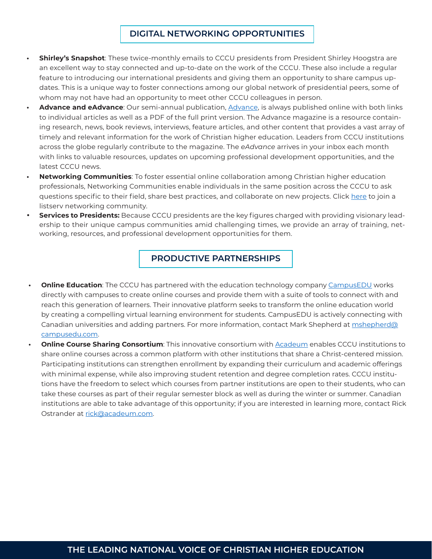#### **DIGITAL NETWORKING OPPORTUNITIES**

- **• Shirley's Snapshot**: These twice-monthly emails to CCCU presidents from President Shirley Hoogstra are an excellent way to stay connected and up-to-date on the work of the CCCU. These also include a regular feature to introducing our international presidents and giving them an opportunity to share campus updates. This is a unique way to foster connections among our global network of presidential peers, some of whom may not have had an opportunity to meet other CCCU colleagues in person.
- **• Advance and eAdvance**: Our semi-annual publication, [Advance,](https://www.cccu.org/magazine/) is always published online with both links to individual articles as well as a PDF of the full print version. The Advance magazine is a resource containing research, news, book reviews, interviews, feature articles, and other content that provides a vast array of timely and relevant information for the work of Christian higher education. Leaders from CCCU institutions across the globe regularly contribute to the magazine. The *eAdvance* arrives in your inbox each month with links to valuable resources, updates on upcoming professional development opportunities, and the latest CCCU news.
- **• Networking Communities**: To foster essential online collaboration among Christian higher education professionals, Networking Communities enable individuals in the same position across the CCCU to ask questions specific to their field, share best practices, and collaborate on new projects. Click [here](https://secure.cccu.org/Membr/Membr/Create_Account_no_Sign_In.aspx?returnprev=t&returnurl=%2fMembr%2fMembr%2fAccountPage.aspx) to join a listserv networking community.
- **Services to Presidents:** Because CCCU presidents are the key figures charged with providing visionary leadership to their unique campus communities amid challenging times, we provide an array of training, networking, resources, and professional development opportunities for them.

#### **PRODUCTIVE PARTNERSHIPS**

- **Online Education**: The CCCU has partnered with the education technology company [CampusEDU](https://www.campusedu.com/) works directly with campuses to create online courses and provide them with a suite of tools to connect with and reach this generation of learners. Their innovative platform seeks to transform the online education world by creating a compelling virtual learning environment for students. CampusEDU is actively connecting with Canadian universities and adding partners. For more information, contact Mark Shepherd at [mshepherd@](mailto:mshepherd@campusedu.com) [campusedu.com.](mailto:mshepherd@campusedu.com)
- **• Online Course Sharing Consortium**: This innovative consortium with [Acadeum](https://go.acadeum.com/cccu) enables CCCU institutions to share online courses across a common platform with other institutions that share a Christ-centered mission. Participating institutions can strengthen enrollment by expanding their curriculum and academic offerings with minimal expense, while also improving student retention and degree completion rates. CCCU institutions have the freedom to select which courses from partner institutions are open to their students, who can take these courses as part of their regular semester block as well as during the winter or summer. Canadian institutions are able to take advantage of this opportunity; if you are interested in learning more, contact Rick Ostrander at [rick@acadeum.com.](mailto:rick@acadeum.com)